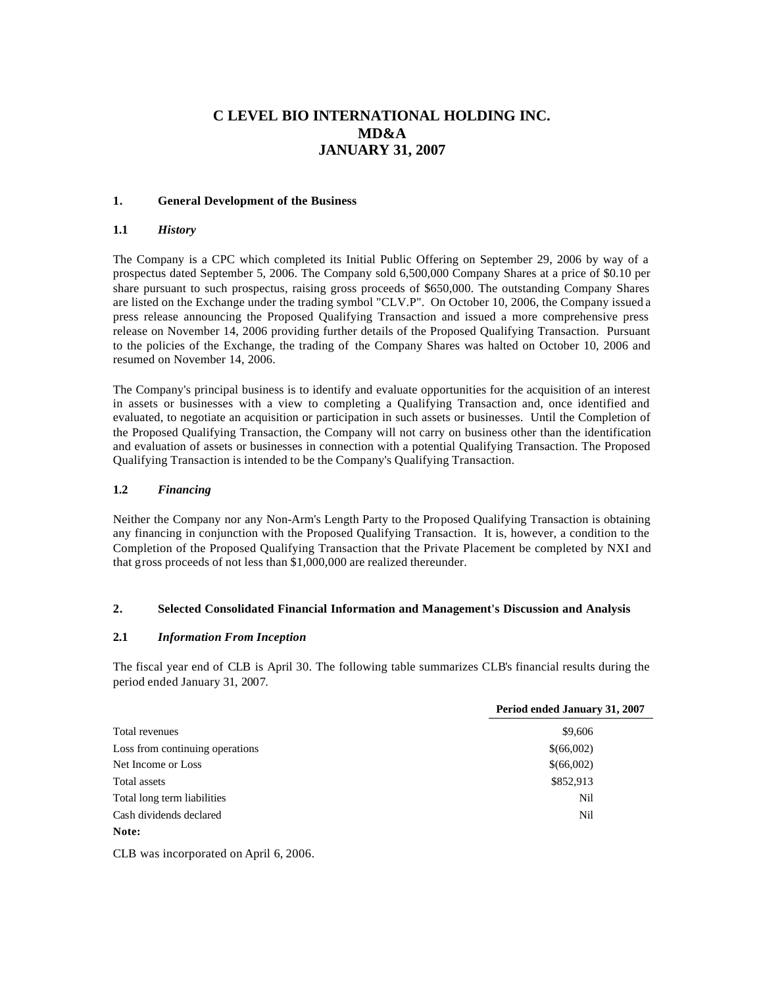# **C LEVEL BIO INTERNATIONAL HOLDING INC. MD&A JANUARY 31, 2007**

## **1. General Development of the Business**

#### **1.1** *History*

The Company is a CPC which completed its Initial Public Offering on September 29, 2006 by way of a prospectus dated September 5, 2006. The Company sold 6,500,000 Company Shares at a price of \$0.10 per share pursuant to such prospectus, raising gross proceeds of \$650,000. The outstanding Company Shares are listed on the Exchange under the trading symbol "CLV.P". On October 10, 2006, the Company issued a press release announcing the Proposed Qualifying Transaction and issued a more comprehensive press release on November 14, 2006 providing further details of the Proposed Qualifying Transaction. Pursuant to the policies of the Exchange, the trading of the Company Shares was halted on October 10, 2006 and resumed on November 14, 2006.

The Company's principal business is to identify and evaluate opportunities for the acquisition of an interest in assets or businesses with a view to completing a Qualifying Transaction and, once identified and evaluated, to negotiate an acquisition or participation in such assets or businesses. Until the Completion of the Proposed Qualifying Transaction, the Company will not carry on business other than the identification and evaluation of assets or businesses in connection with a potential Qualifying Transaction. The Proposed Qualifying Transaction is intended to be the Company's Qualifying Transaction.

#### **1.2** *Financing*

Neither the Company nor any Non-Arm's Length Party to the Proposed Qualifying Transaction is obtaining any financing in conjunction with the Proposed Qualifying Transaction. It is, however, a condition to the Completion of the Proposed Qualifying Transaction that the Private Placement be completed by NXI and that gross proceeds of not less than \$1,000,000 are realized thereunder.

## **2. Selected Consolidated Financial Information and Management's Discussion and Analysis**

# **2.1** *Information From Inception*

The fiscal year end of CLB is April 30. The following table summarizes CLB's financial results during the period ended January 31, 2007.

|                                 | Period ended January 31, 2007 |
|---------------------------------|-------------------------------|
| Total revenues                  | \$9,606                       |
| Loss from continuing operations | \$(66,002)                    |
| Net Income or Loss              | \$(66,002)                    |
| Total assets                    | \$852,913                     |
| Total long term liabilities     | Nil                           |
| Cash dividends declared         | Nil                           |
| Note:                           |                               |

CLB was incorporated on April 6, 2006.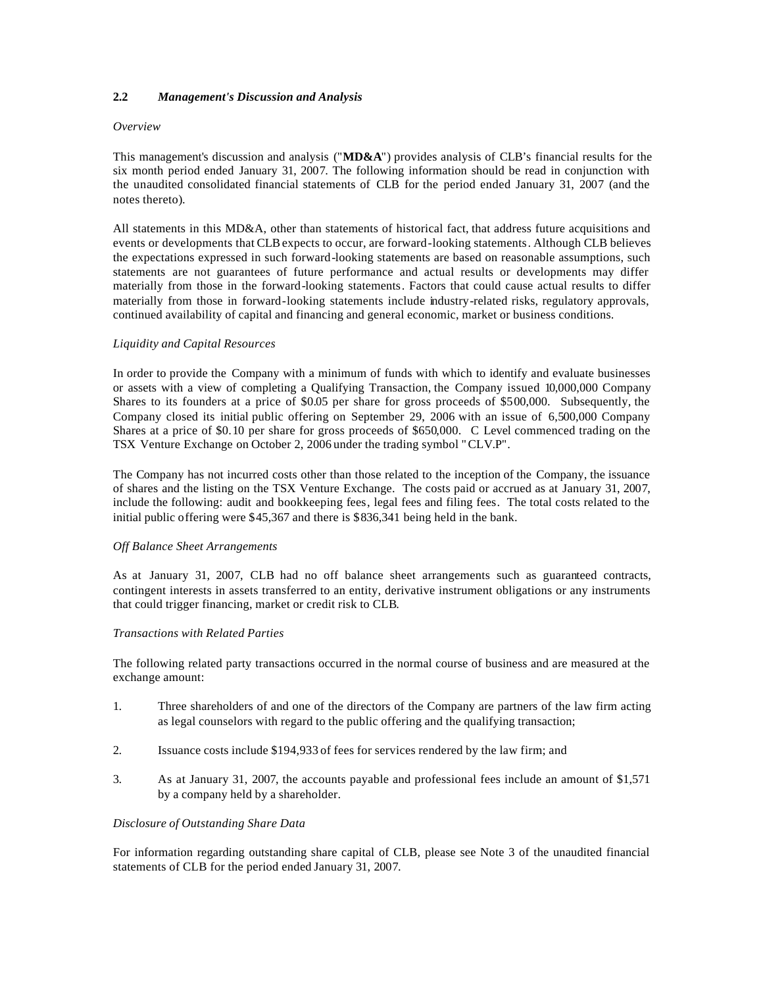# **2.2** *Management's Discussion and Analysis*

## *Overview*

This management's discussion and analysis ("**MD&A**") provides analysis of CLB's financial results for the six month period ended January 31, 2007. The following information should be read in conjunction with the unaudited consolidated financial statements of CLB for the period ended January 31, 2007 (and the notes thereto).

All statements in this MD&A, other than statements of historical fact, that address future acquisitions and events or developments that CLB expects to occur, are forward-looking statements. Although CLB believes the expectations expressed in such forward-looking statements are based on reasonable assumptions, such statements are not guarantees of future performance and actual results or developments may differ materially from those in the forward-looking statements. Factors that could cause actual results to differ materially from those in forward-looking statements include industry-related risks, regulatory approvals, continued availability of capital and financing and general economic, market or business conditions.

## *Liquidity and Capital Resources*

In order to provide the Company with a minimum of funds with which to identify and evaluate businesses or assets with a view of completing a Qualifying Transaction, the Company issued 10,000,000 Company Shares to its founders at a price of \$0.05 per share for gross proceeds of \$500,000. Subsequently, the Company closed its initial public offering on September 29, 2006 with an issue of 6,500,000 Company Shares at a price of \$0.10 per share for gross proceeds of \$650,000. C Level commenced trading on the TSX Venture Exchange on October 2, 2006 under the trading symbol "CLV.P".

The Company has not incurred costs other than those related to the inception of the Company, the issuance of shares and the listing on the TSX Venture Exchange. The costs paid or accrued as at January 31, 2007, include the following: audit and bookkeeping fees, legal fees and filing fees. The total costs related to the initial public offering were \$45,367 and there is \$836,341 being held in the bank.

## *Off Balance Sheet Arrangements*

As at January 31, 2007, CLB had no off balance sheet arrangements such as guaranteed contracts, contingent interests in assets transferred to an entity, derivative instrument obligations or any instruments that could trigger financing, market or credit risk to CLB.

## *Transactions with Related Parties*

The following related party transactions occurred in the normal course of business and are measured at the exchange amount:

- 1. Three shareholders of and one of the directors of the Company are partners of the law firm acting as legal counselors with regard to the public offering and the qualifying transaction;
- 2. Issuance costs include \$194,933 of fees for services rendered by the law firm; and
- 3. As at January 31, 2007, the accounts payable and professional fees include an amount of \$1,571 by a company held by a shareholder.

## *Disclosure of Outstanding Share Data*

For information regarding outstanding share capital of CLB, please see Note 3 of the unaudited financial statements of CLB for the period ended January 31, 2007.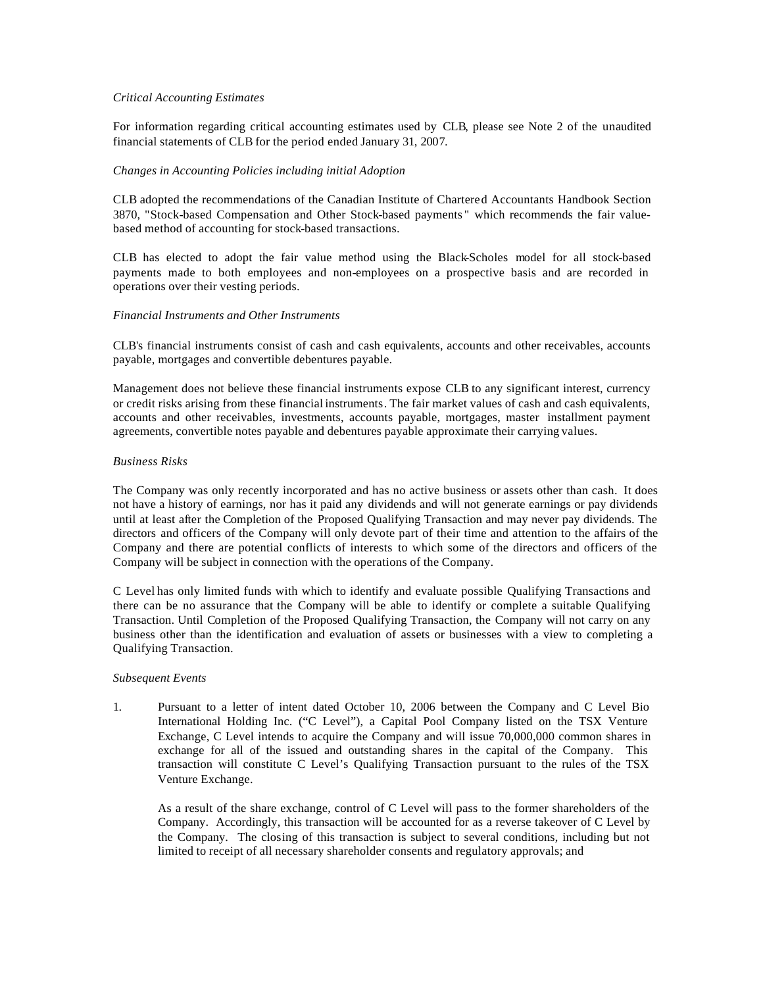## *Critical Accounting Estimates*

For information regarding critical accounting estimates used by CLB, please see Note 2 of the unaudited financial statements of CLB for the period ended January 31, 2007.

#### *Changes in Accounting Policies including initial Adoption*

CLB adopted the recommendations of the Canadian Institute of Chartered Accountants Handbook Section 3870, "Stock-based Compensation and Other Stock-based payments " which recommends the fair valuebased method of accounting for stock-based transactions.

CLB has elected to adopt the fair value method using the Black-Scholes model for all stock-based payments made to both employees and non-employees on a prospective basis and are recorded in operations over their vesting periods.

#### *Financial Instruments and Other Instruments*

CLB's financial instruments consist of cash and cash equivalents, accounts and other receivables, accounts payable, mortgages and convertible debentures payable.

Management does not believe these financial instruments expose CLB to any significant interest, currency or credit risks arising from these financial instruments. The fair market values of cash and cash equivalents, accounts and other receivables, investments, accounts payable, mortgages, master installment payment agreements, convertible notes payable and debentures payable approximate their carrying values.

## *Business Risks*

The Company was only recently incorporated and has no active business or assets other than cash. It does not have a history of earnings, nor has it paid any dividends and will not generate earnings or pay dividends until at least after the Completion of the Proposed Qualifying Transaction and may never pay dividends. The directors and officers of the Company will only devote part of their time and attention to the affairs of the Company and there are potential conflicts of interests to which some of the directors and officers of the Company will be subject in connection with the operations of the Company.

C Level has only limited funds with which to identify and evaluate possible Qualifying Transactions and there can be no assurance that the Company will be able to identify or complete a suitable Qualifying Transaction. Until Completion of the Proposed Qualifying Transaction, the Company will not carry on any business other than the identification and evaluation of assets or businesses with a view to completing a Qualifying Transaction.

#### *Subsequent Events*

1. Pursuant to a letter of intent dated October 10, 2006 between the Company and C Level Bio International Holding Inc. ("C Level"), a Capital Pool Company listed on the TSX Venture Exchange, C Level intends to acquire the Company and will issue 70,000,000 common shares in exchange for all of the issued and outstanding shares in the capital of the Company. This transaction will constitute C Level's Qualifying Transaction pursuant to the rules of the TSX Venture Exchange.

As a result of the share exchange, control of C Level will pass to the former shareholders of the Company. Accordingly, this transaction will be accounted for as a reverse takeover of C Level by the Company. The closing of this transaction is subject to several conditions, including but not limited to receipt of all necessary shareholder consents and regulatory approvals; and